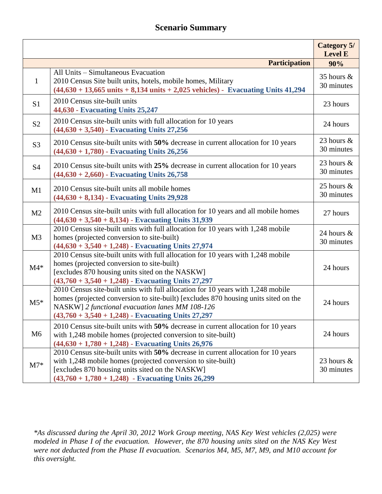## **Scenario Summary**

|                |                                                                                                                                                                                                                                                                                    | <b>Category 5/</b><br><b>Level E</b> |
|----------------|------------------------------------------------------------------------------------------------------------------------------------------------------------------------------------------------------------------------------------------------------------------------------------|--------------------------------------|
|                | <b>Participation</b>                                                                                                                                                                                                                                                               | 90%                                  |
| $\mathbf{1}$   | All Units - Simultaneous Evacuation<br>2010 Census Site built units, hotels, mobile homes, Military<br>$(44,630 + 13,665 \text{ units} + 8,134 \text{ units} + 2,025 \text{ vehicles})$ - Evacuating Units 41,294                                                                  | 35 hours $\&$<br>30 minutes          |
| S <sub>1</sub> | 2010 Census site-built units<br>44,630 - Evacuating Units 25,247                                                                                                                                                                                                                   | 23 hours                             |
| S <sub>2</sub> | 2010 Census site-built units with full allocation for 10 years<br>$(44,630 + 3,540)$ - Evacuating Units 27,256                                                                                                                                                                     | 24 hours                             |
| S <sub>3</sub> | 2010 Census site-built units with 50% decrease in current allocation for 10 years<br>$(44,630 + 1,780)$ - Evacuating Units 26,256                                                                                                                                                  | 23 hours $\&$<br>30 minutes          |
| <b>S4</b>      | 2010 Census site-built units with 25% decrease in current allocation for 10 years<br>$(44,630 + 2,660)$ - Evacuating Units 26,758                                                                                                                                                  | 23 hours $\&$<br>30 minutes          |
| M1             | 2010 Census site-built units all mobile homes<br>$(44,630 + 8,134)$ - Evacuating Units 29,928                                                                                                                                                                                      | 25 hours $\&$<br>30 minutes          |
| M <sub>2</sub> | 2010 Census site-built units with full allocation for 10 years and all mobile homes<br>$(44,630 + 3,540 + 8,134)$ - Evacuating Units 31,939                                                                                                                                        | 27 hours                             |
| M <sub>3</sub> | 2010 Census site-built units with full allocation for 10 years with 1,248 mobile<br>homes (projected conversion to site-built)<br>$(44,630 + 3,540 + 1,248)$ - Evacuating Units 27,974                                                                                             | 24 hours &<br>30 minutes             |
| $M4*$          | 2010 Census site-built units with full allocation for 10 years with 1,248 mobile<br>homes (projected conversion to site-built)<br>[excludes 870 housing units sited on the NASKW]<br>$(43,760 + 3,540 + 1,248)$ - Evacuating Units 27,297                                          | 24 hours                             |
| $M5*$          | 2010 Census site-built units with full allocation for 10 years with 1,248 mobile<br>homes (projected conversion to site-built) [excludes 870 housing units sited on the<br>NASKW] 2 functional evacuation lanes MM 108-126<br>$(43,760 + 3,540 + 1,248)$ - Evacuating Units 27,297 | 24 hours                             |
| M6             | 2010 Census site-built units with 50% decrease in current allocation for 10 years<br>with 1,248 mobile homes (projected conversion to site-built)<br>$(44,630 + 1,780 + 1,248)$ - Evacuating Units 26,976                                                                          | 24 hours                             |
| $M7*$          | 2010 Census site-built units with 50% decrease in current allocation for 10 years<br>with 1,248 mobile homes (projected conversion to site-built)<br>[excludes 870 housing units sited on the NASKW]<br>$(43,760 + 1,780 + 1,248)$ - Evacuating Units 26,299                       | 23 hours $\&$<br>30 minutes          |

*\*As discussed during the April 30, 2012 Work Group meeting, NAS Key West vehicles (2,025) were modeled in Phase I of the evacuation. However, the 870 housing units sited on the NAS Key West were not deducted from the Phase II evacuation. Scenarios M4, M5, M7, M9, and M10 account for this oversight.*